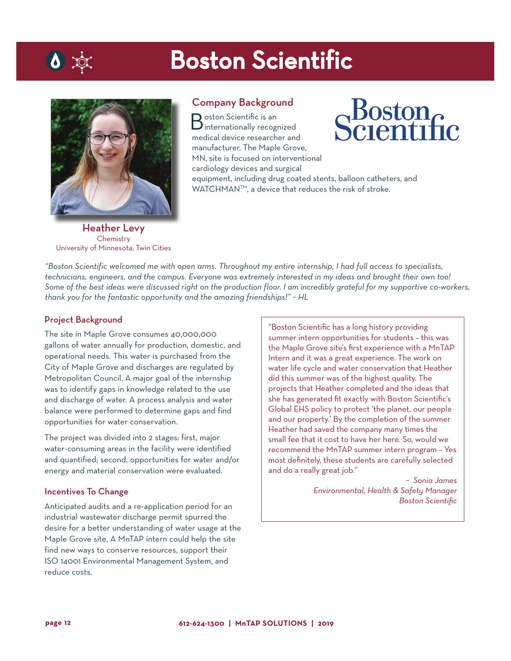## Boston Scientific



 $\bullet$  tor

Company Background

Boston Scientific is an internationally recognized medical device researcher and manufacturer. The Maple Grove, MN, site is focused on interventional cardiology devices and surgical

Boston<br>Scientific

equipment, including drug coated stents, balloon catheters, and WATCHMANTM, a device that reduces the risk of stroke.

Heather Levy **Chemistry** University of Minnesota, Twin Cities

*"Boston Scientific welcomed me with open arms. Throughout my entire internship, I had full access to specialists, technicians, engineers, and the campus. Everyone was extremely interested in my ideas and brought their own too! Some of the best ideas were discussed right on the production floor. I am incredibly grateful for my supportive co-workers, thank you for the fantastic opportunity and the amazing friendships!" ~ HL*

#### Project Background

The site in Maple Grove consumes 40,000,000 gallons of water annually for production, domestic, and operational needs. This water is purchased from the City of Maple Grove and discharges are regulated by Metropolitan Council. A major goal of the internship was to identify gaps in knowledge related to the use and discharge of water. A process analysis and water balance were performed to determine gaps and find opportunities for water conservation.

The project was divided into 2 stages: first, major water-consuming areas in the facility were identified and quantified; second, opportunities for water and/or energy and material conservation were evaluated.

#### Incentives To Change

Anticipated audits and a re-application period for an industrial wastewater discharge permit spurred the desire for a better understanding of water usage at the Maple Grove site. A MnTAP intern could help the site find new ways to conserve resources, support their ISO 14001 Environmental Management System, and reduce costs.

"Boston Scientific has a long history providing summer intern opportunities for students – this was the Maple Grove site's first experience with a MnTAP Intern and it was a great experience. The work on water life cycle and water conservation that Heather did this summer was of the highest quality. The projects that Heather completed and the ideas that she has generated fit exactly with Boston Scientific's Global EHS policy to protect 'the planet, our people and our property.' By the completion of the summer Heather had saved the company many times the small fee that it cost to have her here. So, would we recommend the MnTAP summer intern program – Yes most definitely, these students are carefully selected and do a really great job."

> *~ Sonia James*  $B$ oston Scientific *Boston Scientific*